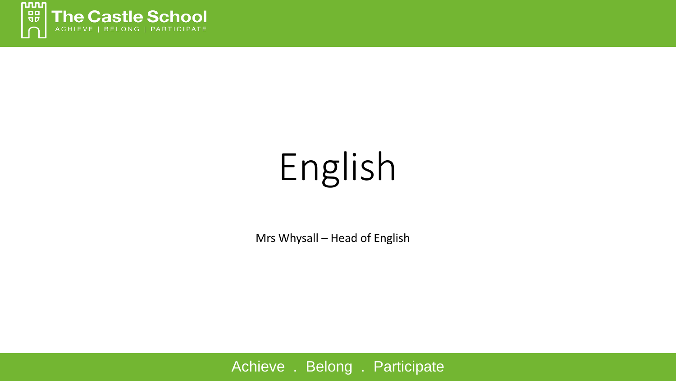

# English

Mrs Whysall - Head of English

Achieve . Belong . Participate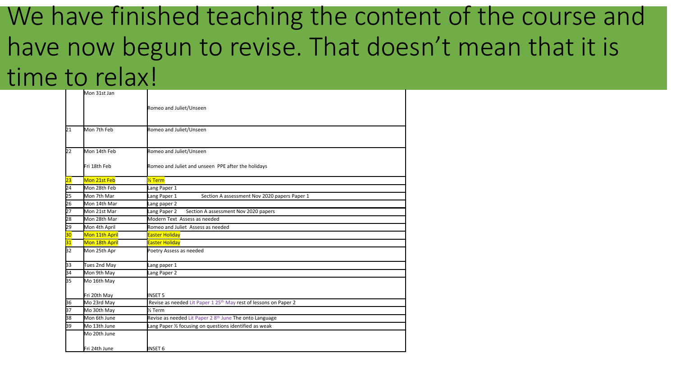#### We have finished teaching the content of the course and have now begun to revise. That doesn't mean that it is time to relax!

|                 | Mon 31st Jan   |                                                                              |  |  |  |  |
|-----------------|----------------|------------------------------------------------------------------------------|--|--|--|--|
|                 |                | Romeo and Juliet/Unseen<br>Romeo and Juliet/Unseen                           |  |  |  |  |
| $\overline{21}$ | Mon 7th Feb    |                                                                              |  |  |  |  |
| 22              | Mon 14th Feb   | Romeo and Juliet/Unseen                                                      |  |  |  |  |
|                 | Fri 18th Feb   | Romeo and Juliet and unseen PPE after the holidays                           |  |  |  |  |
| 23              | Mon 21st Feb   | % Term                                                                       |  |  |  |  |
| 24              | Mon 28th Feb   | ang Paper 1                                                                  |  |  |  |  |
| b5              | Mon 7th Mar    | Section A assessment Nov 2020 papers Paper 1<br>Lang Paper 1                 |  |  |  |  |
| 26              | Mon 14th Mar   | ang paper 2                                                                  |  |  |  |  |
| 27              | Mon 21st Mar   | Section A assessment Nov 2020 papers<br>Lang Paper 2                         |  |  |  |  |
| 28              | Mon 28th Mar   | Modern Text Assess as needed                                                 |  |  |  |  |
| 29              | Mon 4th April  | Romeo and Juliet Assess as needed                                            |  |  |  |  |
| 30              | Mon 11th April | <b>Easter Holiday</b>                                                        |  |  |  |  |
| 31              | Mon 18th April | <b>Easter Holiday</b>                                                        |  |  |  |  |
| B2              | Mon 25th Apr   | Poetry Assess as needed                                                      |  |  |  |  |
| B3              | Tues 2nd May   | ang paper 1                                                                  |  |  |  |  |
| 34              | Mon 9th May    | Lang Paper 2                                                                 |  |  |  |  |
| B5              | Mo 16th May    |                                                                              |  |  |  |  |
|                 | Fri 20th May   | <b>INSET 5</b>                                                               |  |  |  |  |
| 36              | Mo 23rd May    | Revise as needed Lit Paper 1 25 <sup>th</sup> May rest of lessons on Paper 2 |  |  |  |  |
| 37              | Mo 30th May    | % Term                                                                       |  |  |  |  |
| 38              | Mon 6th June   | Revise as needed Lit Paper 2 8 <sup>th</sup> June The onto Language          |  |  |  |  |
| 39              | Mo 13th June   | Lang Paper 1/2 focusing on questions identified as weak                      |  |  |  |  |
|                 | Mo 20th June   |                                                                              |  |  |  |  |
|                 | Fri 24th June  | <b>NSET 6</b>                                                                |  |  |  |  |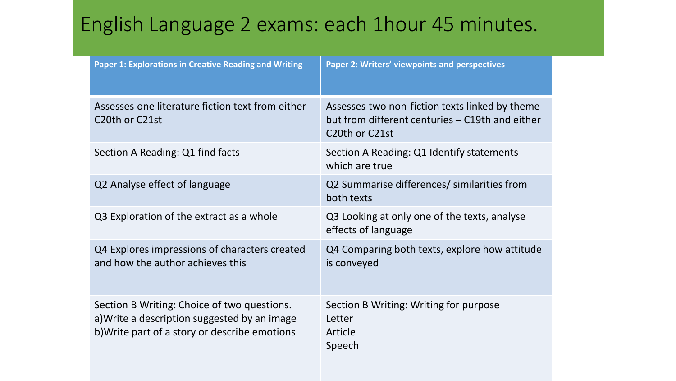#### English Language 2 exams: each 1hour 45 minutes.

| <b>Paper 1: Explorations in Creative Reading and Writing</b>                                                                                 | Paper 2: Writers' viewpoints and perspectives                                                                       |
|----------------------------------------------------------------------------------------------------------------------------------------------|---------------------------------------------------------------------------------------------------------------------|
| Assesses one literature fiction text from either<br>C <sub>20</sub> th or C <sub>21st</sub>                                                  | Assesses two non-fiction texts linked by theme<br>but from different centuries – C19th and either<br>C20th or C21st |
| Section A Reading: Q1 find facts                                                                                                             | Section A Reading: Q1 Identify statements<br>which are true                                                         |
| Q2 Analyse effect of language                                                                                                                | Q2 Summarise differences/ similarities from<br>both texts                                                           |
| Q3 Exploration of the extract as a whole                                                                                                     | Q3 Looking at only one of the texts, analyse<br>effects of language                                                 |
| Q4 Explores impressions of characters created<br>and how the author achieves this                                                            | Q4 Comparing both texts, explore how attitude<br>is conveyed                                                        |
| Section B Writing: Choice of two questions.<br>a) Write a description suggested by an image<br>b) Write part of a story or describe emotions | Section B Writing: Writing for purpose<br>Letter<br>Article<br>Speech                                               |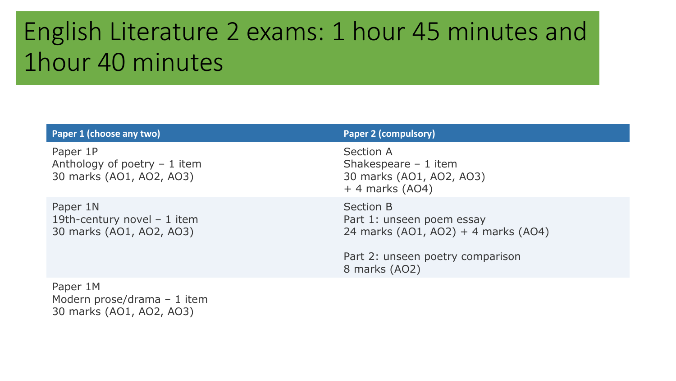### English Literature 2 exams: 1 hour 45 minutes and 1hour 40 minutes

| Paper 1 (choose any two)                                              | <b>Paper 2 (compulsory)</b>                                                                                                        |
|-----------------------------------------------------------------------|------------------------------------------------------------------------------------------------------------------------------------|
| Paper 1P<br>Anthology of poetry $-1$ item<br>30 marks (AO1, AO2, AO3) | Section A<br>Shakespeare $-1$ item<br>30 marks (AO1, AO2, AO3)<br>$+4$ marks (AO4)                                                 |
| Paper 1N<br>19th-century novel $-1$ item<br>30 marks (AO1, AO2, AO3)  | Section B<br>Part 1: unseen poem essay<br>24 marks (AO1, AO2) + 4 marks (AO4)<br>Part 2: unseen poetry comparison<br>8 marks (AO2) |
| Paper 1M                                                              |                                                                                                                                    |

Modern prose/drama – 1 item 30 marks (AO1, AO2, AO3)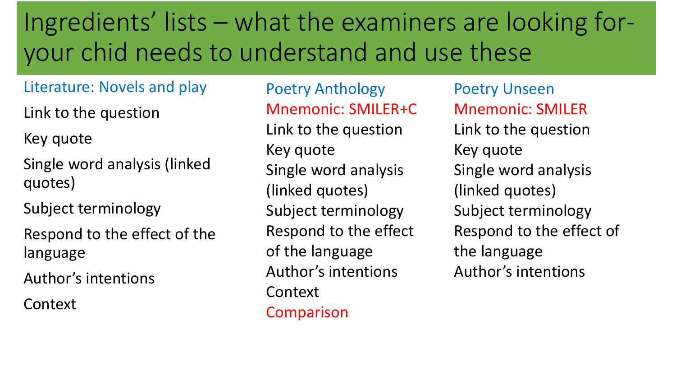## Ingredients' lists – what the examiners are looking foryour chid needs to understand and use these

#### Literature: Novels and play

Link to the question

Key quote

Single word analysis (linked quotes)

Subject terminology

Respond to the effect of the language

Author's intentions

Context

Poetry Anthology Mnemonic: SMILER+C Link to the question Key quote Single word analysis (linked quotes) Subject terminology Respond to the effect of the language Author's intentions Context Comparison

Poetry Unseen Mnemonic: SMILER Link to the question Key quote Single word analysis (linked quotes) Subject terminology Respond to the effect of the language Author's intentions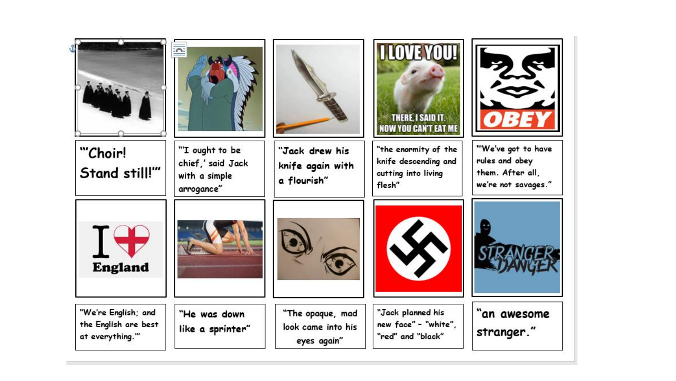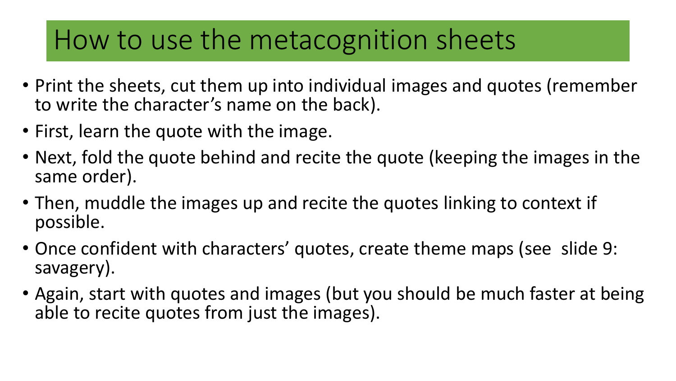#### How to use the metacognition sheets

- Print the sheets, cut them up into individual images and quotes (remember to write the character's name on the back).
- First, learn the quote with the image.
- Next, fold the quote behind and recite the quote (keeping the images in the same order).
- Then, muddle the images up and recite the quotes linking to context if possible.
- Once confident with characters' quotes, create theme maps (see slide 9: savagery).
- Again, start with quotes and images (but you should be much faster at being able to recite quotes from just the images).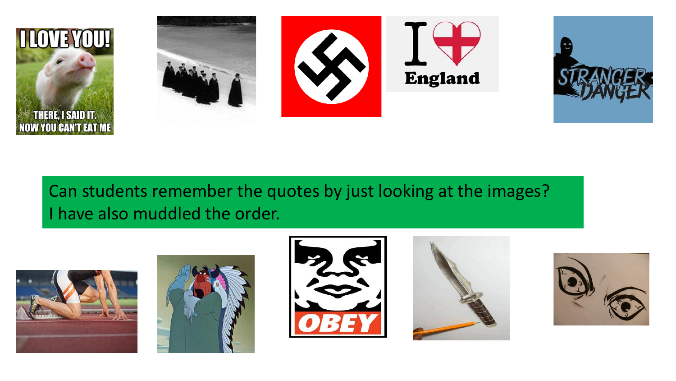

#### Can students remember the quotes by just looking at the images? I have also muddled the order.









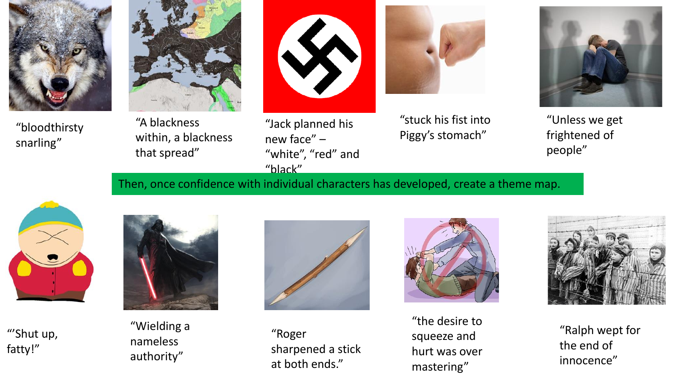

"bloodthirsty snarling"



"A blackness within, a blackness that spread"



"Jack planned his new face" – "white", "red" and "black"



"stuck his fist into Piggy's stomach"



"Unless we get frightened of people"

Then, once confidence with individual characters has developed, create a theme map.



"'Shut up, fatty!"



"Wielding a nameless authority"



"Roger sharpened a stick at both ends."



"the desire to squeeze and hurt was over mastering"



"Ralph wept for the end of innocence"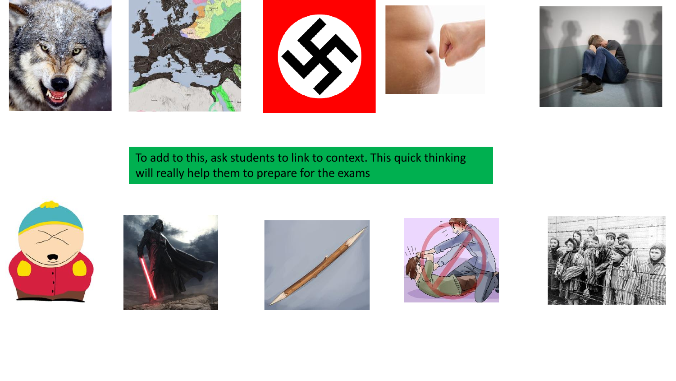







To add to this, ask students to link to context. This quick thinking will really help them to prepare for the exams









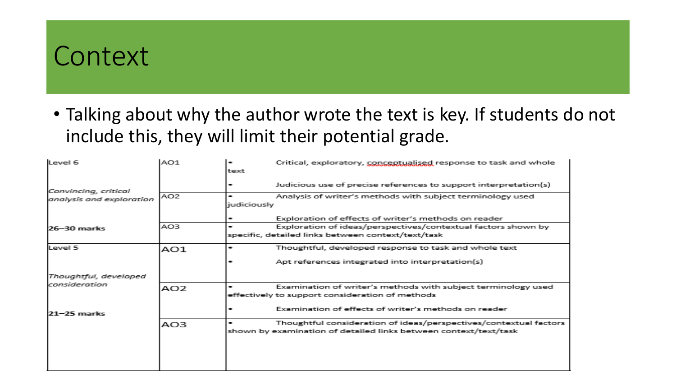#### Context

• Talking about why the author wrote the text is key. If students do not include this, they will limit their potential grade.

| Level 6                  | AO1             | ۰<br>text   | Critical, exploratory, conceptualised response to task and whole  |
|--------------------------|-----------------|-------------|-------------------------------------------------------------------|
| Convincing, critical     |                 |             | Judicious use of precise references to support interpretation(s)  |
| analysis and exploration | AO <sub>2</sub> | judiciously | Analysis of writer's methods with subject terminology used        |
|                          |                 |             | Exploration of effects of writer's methods on reader              |
| 26-30 marks              | AO3             | ۰           | Exploration of ideas/perspectives/contextual factors shown by     |
|                          |                 |             | specific, detailed links between context/text/task                |
| Level 5                  | AO1             | ۰           | Thoughtful, developed response to task and whole text             |
|                          |                 |             | Apt references integrated into interpretation(s)                  |
| Thoughtful, developed    |                 |             |                                                                   |
| lconsideration           | AO <sub>2</sub> |             | Examination of writer's methods with subject terminology used     |
|                          |                 |             | effectively to support consideration of methods                   |
| 21-25 marks              |                 |             | Examination of effects of writer's methods on reader              |
|                          | AO3             | ۰           | Thoughtful consideration of ideas/perspectives/contextual factors |
|                          |                 |             | shown by examination of detailed links between context/text/task  |
|                          |                 |             |                                                                   |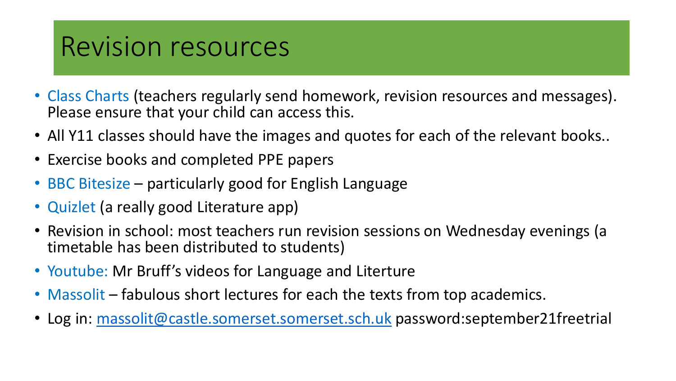#### Revision resources

- Class Charts (teachers regularly send homework, revision resources and messages). Please ensure that your child can access this.
- All Y11 classes should have the images and quotes for each of the relevant books..
- Exercise books and completed PPE papers
- BBC Bitesize particularly good for English Language
- Quizlet (a really good Literature app)
- Revision in school: most teachers run revision sessions on Wednesday evenings (a timetable has been distributed to students)
- Youtube: Mr Bruff's videos for Language and Literture
- Massolit fabulous short lectures for each the texts from top academics.
- Log in: [massolit@castle.somerset.somerset.sch.uk](mailto:massolit@castle.somerset.somerset.sch.uk) password:september21freetrial